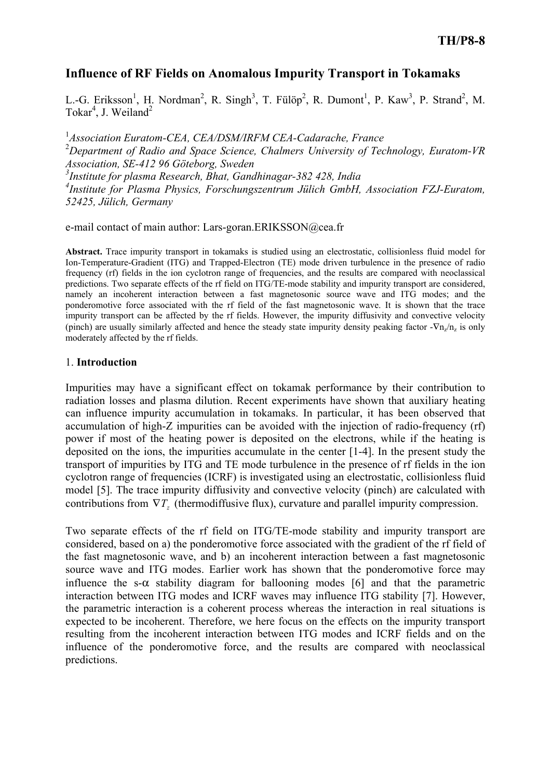# Influence of RF Fields on Anomalous Impurity Transport in Tokamaks

L.-G. Eriksson<sup>1</sup>, H. Nordman<sup>2</sup>, R. Singh<sup>3</sup>, T. Fülöp<sup>2</sup>, R. Dumont<sup>1</sup>, P. Kaw<sup>3</sup>, P. Strand<sup>2</sup>, M. Tokar<sup>4</sup>, J. Weiland<sup>2</sup>

<sup>1</sup>Association Euratom-CEA, CEA/DSM/IRFM CEA-Cadarache, France <sup>2</sup>Department of Radio and Space Science, Chalmers University of Technology, Euratom-VR Association, SE-412 96 Göteborg, Sweden  $3$ Institute for plasma Research, Bhat, Gandhinagar-382 428, India 4 Institute for Plasma Physics, Forschungszentrum Jülich GmbH, Association FZJ-Euratom, 52425, Jülich, Germany

e-mail contact of main author: Lars-goran.ERIKSSON@cea.fr

Abstract. Trace impurity transport in tokamaks is studied using an electrostatic, collisionless fluid model for Ion-Temperature-Gradient (ITG) and Trapped-Electron (TE) mode driven turbulence in the presence of radio frequency (rf) fields in the ion cyclotron range of frequencies, and the results are compared with neoclassical predictions. Two separate effects of the rf field on ITG/TE-mode stability and impurity transport are considered, namely an incoherent interaction between a fast magnetosonic source wave and ITG modes; and the ponderomotive force associated with the rf field of the fast magnetosonic wave. It is shown that the trace impurity transport can be affected by the rf fields. However, the impurity diffusivity and convective velocity (pinch) are usually similarly affected and hence the steady state impurity density peaking factor - $\nabla n_z/n_z$  is only moderately affected by the rf fields.

### 1. Introduction

Impurities may have a significant effect on tokamak performance by their contribution to radiation losses and plasma dilution. Recent experiments have shown that auxiliary heating can influence impurity accumulation in tokamaks. In particular, it has been observed that accumulation of high-Z impurities can be avoided with the injection of radio-frequency (rf) power if most of the heating power is deposited on the electrons, while if the heating is deposited on the ions, the impurities accumulate in the center [1-4]. In the present study the transport of impurities by ITG and TE mode turbulence in the presence of rf fields in the ion cyclotron range of frequencies (ICRF) is investigated using an electrostatic, collisionless fluid model [5]. The trace impurity diffusivity and convective velocity (pinch) are calculated with contributions from  $\nabla T_z$  (thermodiffusive flux), curvature and parallel impurity compression.

Two separate effects of the rf field on ITG/TE-mode stability and impurity transport are considered, based on a) the ponderomotive force associated with the gradient of the rf field of the fast magnetosonic wave, and b) an incoherent interaction between a fast magnetosonic source wave and ITG modes. Earlier work has shown that the ponderomotive force may influence the s- $\alpha$  stability diagram for ballooning modes [6] and that the parametric interaction between ITG modes and ICRF waves may influence ITG stability [7]. However, the parametric interaction is a coherent process whereas the interaction in real situations is expected to be incoherent. Therefore, we here focus on the effects on the impurity transport resulting from the incoherent interaction between ITG modes and ICRF fields and on the influence of the ponderomotive force, and the results are compared with neoclassical predictions.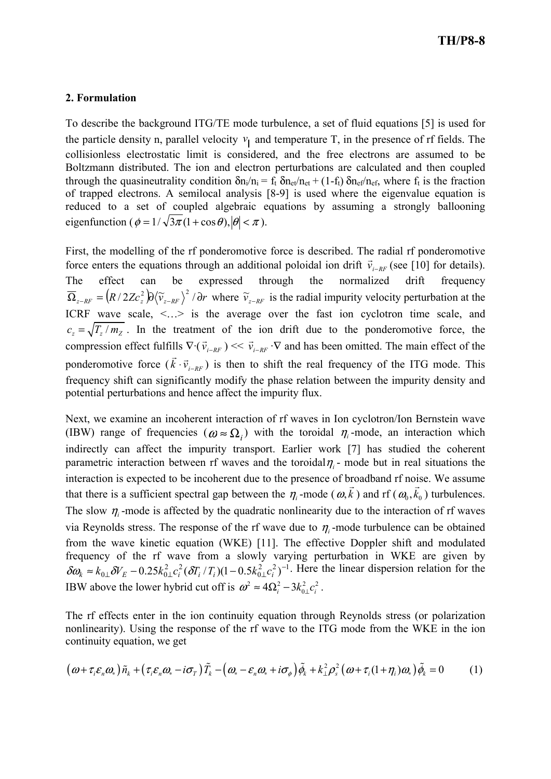## 2. Formulation

To describe the background ITG/TE mode turbulence, a set of fluid equations [5] is used for the particle density n, parallel velocity  $v_{\parallel}$  and temperature T, in the presence of rf fields. The collisionless electrostatic limit is considered, and the free electrons are assumed to be Boltzmann distributed. The ion and electron perturbations are calculated and then coupled through the quasineutrality condition  $\delta n_i/n_i = f_t \delta n_{et}/n_{et} + (1 - f_t) \delta n_{ef}/n_{ef}$ , where  $f_t$  is the fraction of trapped electrons. A semilocal analysis [8-9] is used where the eigenvalue equation is reduced to a set of coupled algebraic equations by assuming a strongly ballooning eigenfunction ( $\phi = 1/\sqrt{3\pi}(1 + \cos\theta), |\theta| < \pi$ ).

First, the modelling of the rf ponderomotive force is described. The radial rf ponderomotive force enters the equations through an additional poloidal ion drift  $\vec{v}_{i-RF}$  (see [10] for details). The effect can be expressed through the normalized drift frequency  $\overline{\Omega}_{z-RF} = (R/2Zc_z^2)\partial \langle \widetilde{v}_{z-RF} \rangle^2 / \partial r$  where  $\widetilde{v}_{z-RF}$  is the radial impurity velocity perturbation at the ICRF wave scale,  $\langle \cdot \rangle$  is the average over the fast ion cyclotron time scale, and  $c_z = \sqrt{T_z/m_z}$ . In the treatment of the ion drift due to the ponderomotive force, the compression effect fulfills  $\nabla \cdot (\vec{v}_{i-RF})$ r )  $<< \vec{v}_{i-RF}$ .<br>→ Ils  $\nabla \cdot (\vec{v}_{i-RF}) \ll \vec{v}_{i-RF} \cdot \nabla$  and has been omitted. The main effect of the ponderomotive force  $(k \cdot \vec{v}_{i-RF})$  $\rightarrow$ ) is then to shift the real frequency of the ITG mode. This frequency shift can significantly modify the phase relation between the impurity density and potential perturbations and hence affect the impurity flux.

Next, we examine an incoherent interaction of rf waves in Ion cyclotron/Ion Bernstein wave (IBW) range of frequencies  $(\omega \approx \Omega_i)$  with the toroidal  $\eta_i$ -mode, an interaction which indirectly can affect the impurity transport. Earlier work [7] has studied the coherent parametric interaction between rf waves and the toroidal $\eta_i$ - mode but in real situations the interaction is expected to be incoherent due to the presence of broadband rf noise. We assume that there is a sufficient spectral gap between the  $\eta_i$ -mode ( $\omega, k$ ) and rf ( $\omega_0, k_0$ ) turbulences. The slow  $\eta_i$ -mode is affected by the quadratic nonlinearity due to the interaction of rf waves via Reynolds stress. The response of the rf wave due to  $\eta_i$ -mode turbulence can be obtained from the wave kinetic equation (WKE) [11]. The effective Doppler shift and modulated frequency of the rf wave from a slowly varying perturbation in WKE are given by 2  $a^{2}$  1<sup>-1</sup>  $\boldsymbol{0}$ 2  $a^2$  $\delta \omega_k \approx k_{0\perp} \delta V_E - 0.25 k_{0\perp}^2 c_i^2 (\delta T_i/T_i)(1-0.5k_{0\perp}^2 c_i^2)^{-1}$ . Here the linear dispersion relation for the IBW above the lower hybrid cut off is  $\omega^2 \approx 4\Omega_i^2 - 3k_{0\perp}^2 c_i^2$ .

The rf effects enter in the ion continuity equation through Reynolds stress (or polarization nonlinearity). Using the response of the rf wave to the ITG mode from the WKE in the ion continuity equation, we get

$$
(\omega + \tau_i \varepsilon_n \omega_*) \tilde{n}_k + (\tau_i \varepsilon_n \omega_* - i \sigma_\tau) \tilde{T}_k - (\omega_* - \varepsilon_n \omega_* + i \sigma_\phi) \tilde{\phi}_k + k_\perp^2 \rho_s^2 (\omega + \tau_i (1 + \eta_i) \omega_*) \tilde{\phi}_k = 0 \tag{1}
$$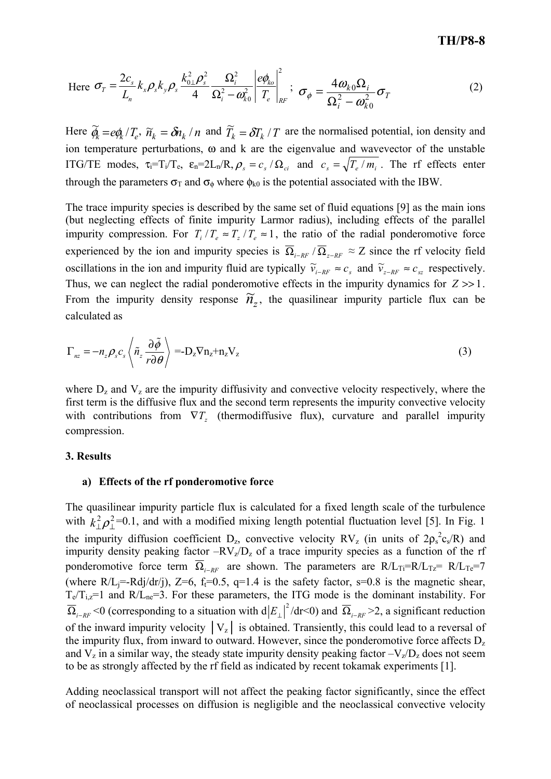Here 
$$
\sigma_T = \frac{2c_s}{L_n} k_x \rho_s k_y \rho_s \frac{k_{0\perp}^2 \rho_s^2}{4} \frac{\Omega_i^2}{\Omega_i^2 - \omega_{k0}^2} \left| \frac{e\phi_{k0}}{T_e} \right|_{RF}^2; \ \ \sigma_\phi = \frac{4\omega_{k0}\Omega_i}{\Omega_i^2 - \omega_{k0}^2} \sigma_T \tag{2}
$$

Here  $\tilde{\phi}_k = e \phi_k / T_e$ ,  $\tilde{n}_k = \delta n_k / n$  and  $\tilde{T}_k = \delta T_k / T$  are the normalised potential, ion density and ion temperature perturbations, ω and k are the eigenvalue and wavevector of the unstable ITG/TE modes,  $\tau_i = T_i/T_e$ ,  $\varepsilon_n = 2L_n/R$ ,  $\rho_s = c_s / \Omega_{ci}$  and  $c_s = \sqrt{T_e / m_i}$ . The rf effects enter through the parameters  $\sigma_{\text{T}}$  and  $\sigma_{\phi}$  where  $\phi_{k0}$  is the potential associated with the IBW.

The trace impurity species is described by the same set of fluid equations [9] as the main ions (but neglecting effects of finite impurity Larmor radius), including effects of the parallel impurity compression. For  $T_i/T_e \approx T_z/T_e \approx 1$ , the ratio of the radial ponderomotive force experienced by the ion and impurity species is  $\overline{\Omega}_{i-RF}$  /  $\overline{\Omega}_{z-RF} \approx Z$  since the rf velocity field oscillations in the ion and impurity fluid are typically  $\tilde{v}_{i-RF} \approx c_s$  and  $\tilde{v}_{z-RF} \approx c_{sz}$  respectively. Thus, we can neglect the radial ponderomotive effects in the impurity dynamics for  $Z \gg 1$ . From the impurity density response  $\widetilde{n}_z$ , the quasilinear impurity particle flux can be calculated as

$$
\Gamma_{nz} = -n_z \rho_s c_s \left\langle \tilde{n}_z \frac{\partial \tilde{\phi}}{r \partial \theta} \right\rangle = -D_z \nabla n_z + n_z V_z \tag{3}
$$

where  $D_z$  and  $V_z$  are the impurity diffusivity and convective velocity respectively, where the first term is the diffusive flux and the second term represents the impurity convective velocity with contributions from  $\nabla T_z$  (thermodiffusive flux), curvature and parallel impurity compression.

#### 3. Results

#### a) Effects of the rf ponderomotive force

The quasilinear impurity particle flux is calculated for a fixed length scale of the turbulence with  $k_{\perp}^2 \rho_{\perp}^2 = 0.1$ , and with a modified mixing length potential fluctuation level [5]. In Fig. 1 the impurity diffusion coefficient  $D_z$ , convective velocity RV<sub>z</sub> (in units of  $2\rho_s^2 c_s/R$ ) and impurity density peaking factor  $-RV_z/D_z$  of a trace impurity species as a function of the rf ponderomotive force term  $\overline{\Omega}_{i-RF}$  are shown. The parameters are R/L<sub>Ti</sub>=R/L<sub>Tz</sub>= R/L<sub>Te</sub>=7 (where  $R/L_i = Rdi/dr(i)$ ,  $Z=6$ ,  $f_i=0.5$ ,  $q=1.4$  is the safety factor,  $s=0.8$  is the magnetic shear,  $T_e/T_{1,z}=1$  and  $R/L_{ne}=3$ . For these parameters, the ITG mode is the dominant instability. For  $\overline{\Omega}_{i-RF}$  <0 (corresponding to a situation with  $d|E_{\perp}|^2/dr$  < 0) and  $\overline{\Omega}_{i-RF}$  >2, a significant reduction of the inward impurity velocity  $|V_z|$  is obtained. Transiently, this could lead to a reversal of the impurity flux, from inward to outward. However, since the ponderomotive force affects  $D<sub>z</sub>$ and  $V_z$  in a similar way, the steady state impurity density peaking factor  $-V_z/D_z$  does not seem to be as strongly affected by the rf field as indicated by recent tokamak experiments [1].

Adding neoclassical transport will not affect the peaking factor significantly, since the effect of neoclassical processes on diffusion is negligible and the neoclassical convective velocity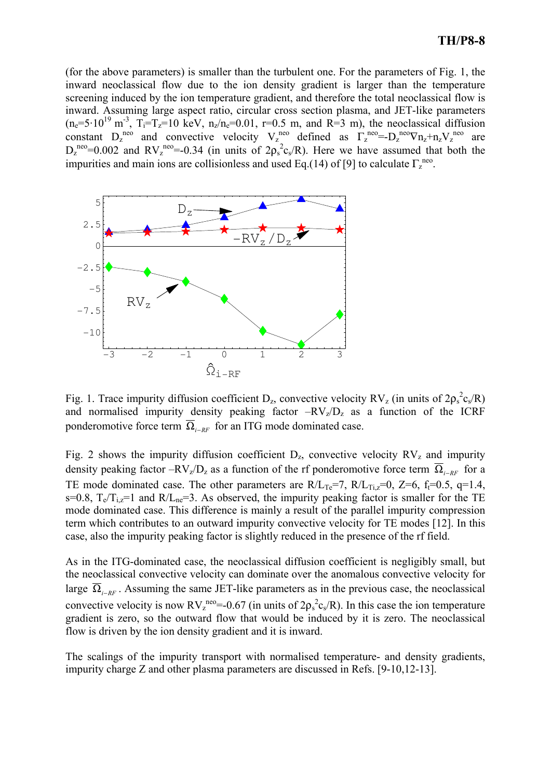(for the above parameters) is smaller than the turbulent one. For the parameters of Fig. 1, the inward neoclassical flow due to the ion density gradient is larger than the temperature screening induced by the ion temperature gradient, and therefore the total neoclassical flow is inward. Assuming large aspect ratio, circular cross section plasma, and JET-like parameters  $(n_e=5.10^{19} \text{ m}^3, T_i=T_z=10 \text{ keV}, n_z/n_e=0.01, r=0.5 \text{ m}, \text{ and } R=3 \text{ m}$ , the neoclassical diffusion constant  $D_z^{neo}$  and convective velocity  $V_z^{neo}$  defined as  $\Gamma_z^{neo} = -D_z^{neo} \nabla n_z + n_z V_z^{neo}$  are  $D_z^{\text{neo}}=0.002$  and  $RV_z^{\text{neo}}=0.34$  (in units of  $2\rho_s^2 c_s/R$ ). Here we have assumed that both the impurities and main ions are collisionless and used Eq.(14) of [9] to calculate  $\Gamma_z^{neo}$ .



Fig. 1. Trace impurity diffusion coefficient  $D_z$ , convective velocity RV<sub>z</sub> (in units of  $2p_s^2c_s/R$ ) and normalised impurity density peaking factor  $-RV<sub>z</sub>/D<sub>z</sub>$  as a function of the ICRF ponderomotive force term  $\overline{\Omega}_{i-RF}$  for an ITG mode dominated case.

Fig. 2 shows the impurity diffusion coefficient  $D_z$ , convective velocity  $RV_z$  and impurity density peaking factor –RV<sub>z</sub>/D<sub>z</sub> as a function of the rf ponderomotive force term  $\overline{\Omega}_{i-RF}$  for a TE mode dominated case. The other parameters are  $R/L_{Te} = 7$ ,  $R/L_{Tiz} = 0$ ,  $Z = 6$ ,  $f_t = 0.5$ ,  $q = 1.4$ , s=0.8,  $T_e/T_{i,z}=1$  and  $R/L_{ne}=3$ . As observed, the impurity peaking factor is smaller for the TE mode dominated case. This difference is mainly a result of the parallel impurity compression term which contributes to an outward impurity convective velocity for TE modes [12]. In this case, also the impurity peaking factor is slightly reduced in the presence of the rf field.

As in the ITG-dominated case, the neoclassical diffusion coefficient is negligibly small, but the neoclassical convective velocity can dominate over the anomalous convective velocity for large  $\overline{\Omega}_{i-RF}$ . Assuming the same JET-like parameters as in the previous case, the neoclassical convective velocity is now  $RV^{\text{neo}}_{z} = -0.67$  (in units of  $2\rho_s^2 c_s / R$ ). In this case the ion temperature gradient is zero, so the outward flow that would be induced by it is zero. The neoclassical flow is driven by the ion density gradient and it is inward.

The scalings of the impurity transport with normalised temperature- and density gradients, impurity charge Z and other plasma parameters are discussed in Refs. [9-10,12-13].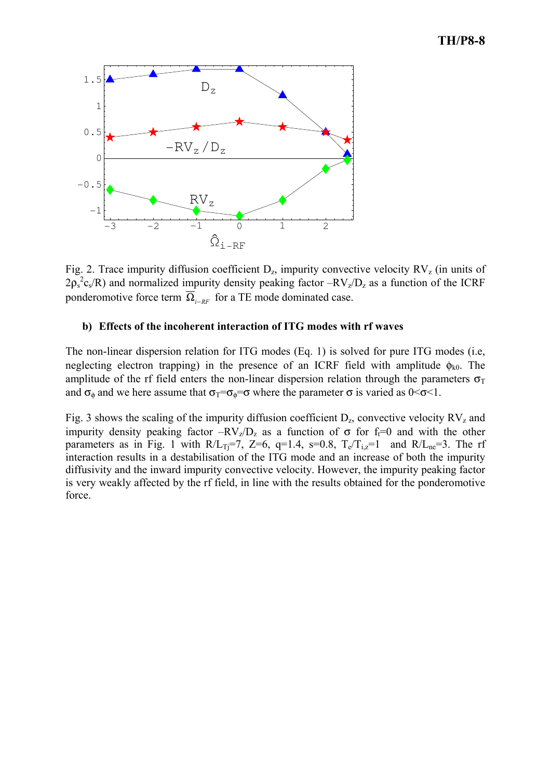# TH/P8-8



Fig. 2. Trace impurity diffusion coefficient  $D_z$ , impurity convective velocity  $RV_z$  (in units of  $2\rho_s^2 c_s/R$ ) and normalized impurity density peaking factor  $-RV_z/D_z$  as a function of the ICRF ponderomotive force term  $\overline{\Omega}_{i-RF}$  for a TE mode dominated case.

### b) Effects of the incoherent interaction of ITG modes with rf waves

The non-linear dispersion relation for ITG modes (Eq. 1) is solved for pure ITG modes (i.e, neglecting electron trapping) in the presence of an ICRF field with amplitude  $\phi_{k0}$ . The amplitude of the rf field enters the non-linear dispersion relation through the parameters  $\sigma_T$ and  $\sigma_{\phi}$  and we here assume that  $\sigma_{\overline{1}} = \sigma_{\phi} = \sigma$  where the parameter  $\sigma$  is varied as  $0 \le \sigma \le 1$ .

Fig. 3 shows the scaling of the impurity diffusion coefficient  $D_z$ , convective velocity  $RV_z$  and impurity density peaking factor  $-RV_z/D_z$  as a function of  $\sigma$  for f<sub>t</sub>=0 and with the other parameters as in Fig. 1 with  $R/L_{Ti}=7$ , Z=6, q=1.4, s=0.8,  $T_e/T_{i,z}=1$  and  $R/L_{ne}=3$ . The rf interaction results in a destabilisation of the ITG mode and an increase of both the impurity diffusivity and the inward impurity convective velocity. However, the impurity peaking factor is very weakly affected by the rf field, in line with the results obtained for the ponderomotive force.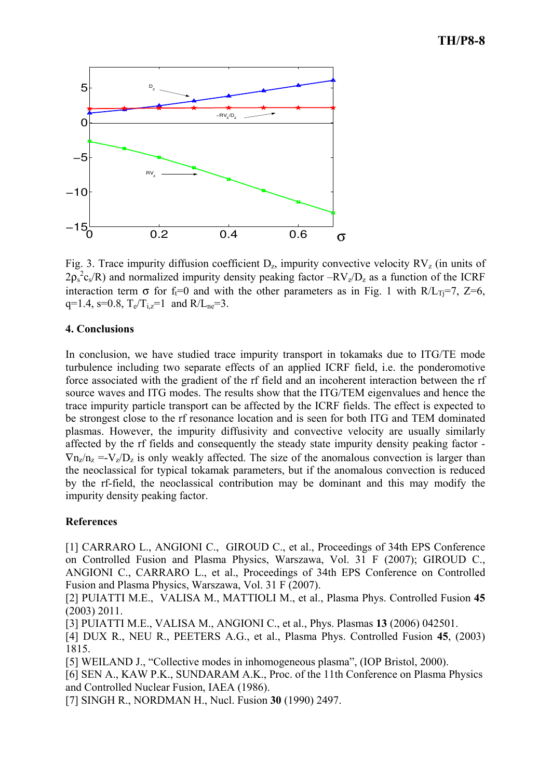# TH/P8-8



Fig. 3. Trace impurity diffusion coefficient  $D_z$ , impurity convective velocity  $RV_z$  (in units of  $2p_s^2c_s/R$ ) and normalized impurity density peaking factor  $-RV_z/D_z$  as a function of the ICRF interaction term  $\sigma$  for f<sub>t</sub>=0 and with the other parameters as in Fig. 1 with R/L<sub>Ti</sub>=7, Z=6, q=1.4, s=0.8,  $T_e/T_{1z}=1$  and  $R/L_{ne}=3$ .

### 4. Conclusions

In conclusion, we have studied trace impurity transport in tokamaks due to ITG/TE mode turbulence including two separate effects of an applied ICRF field, i.e. the ponderomotive force associated with the gradient of the rf field and an incoherent interaction between the rf source waves and ITG modes. The results show that the ITG/TEM eigenvalues and hence the trace impurity particle transport can be affected by the ICRF fields. The effect is expected to be strongest close to the rf resonance location and is seen for both ITG and TEM dominated plasmas. However, the impurity diffusivity and convective velocity are usually similarly affected by the rf fields and consequently the steady state impurity density peaking factor -  $\nabla$ n<sub>z</sub>/n<sub>z</sub> =-V<sub>z</sub>/D<sub>z</sub> is only weakly affected. The size of the anomalous convection is larger than the neoclassical for typical tokamak parameters, but if the anomalous convection is reduced by the rf-field, the neoclassical contribution may be dominant and this may modify the impurity density peaking factor.

### References

[1] CARRARO L., ANGIONI C., GIROUD C., et al., Proceedings of 34th EPS Conference on Controlled Fusion and Plasma Physics, Warszawa, Vol. 31 F (2007); GIROUD C., ANGIONI C., CARRARO L., et al., Proceedings of 34th EPS Conference on Controlled Fusion and Plasma Physics, Warszawa, Vol. 31 F (2007).

[2] PUIATTI M.E., VALISA M., MATTIOLI M., et al., Plasma Phys. Controlled Fusion 45 (2003) 2011.

[3] PUIATTI M.E., VALISA M., ANGIONI C., et al., Phys. Plasmas 13 (2006) 042501.

[4] DUX R., NEU R., PEETERS A.G., et al., Plasma Phys. Controlled Fusion 45, (2003) 1815.

[5] WEILAND J., "Collective modes in inhomogeneous plasma", (IOP Bristol, 2000).

[6] SEN A., KAW P.K., SUNDARAM A.K., Proc. of the 11th Conference on Plasma Physics and Controlled Nuclear Fusion, IAEA (1986).

[7] SINGH R., NORDMAN H., Nucl. Fusion 30 (1990) 2497.